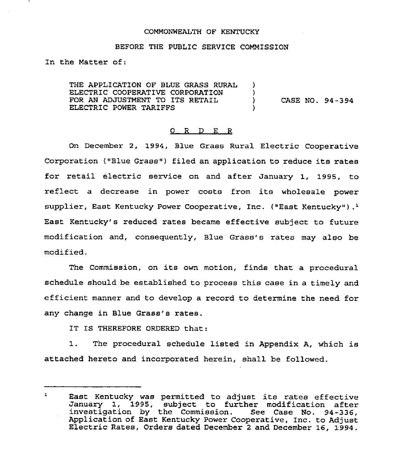### COMMONWEALTH OF KENTUCKY

### BEFORE THE PUBLIC SERVICE COMMISSION

In the Matter of:

THE APPLICATION OF BLUE GRASS RURAL λ. ELECTRIC COOPERATIVE CORPORATION )<br>) FOR AN ADJUSTMENT TO ITS RETAIL ) CASE NO. 94 - <sup>3</sup> 94 ELECTRIC POWER TARIFFS )

## 0 R D E R

On Decembex 2, 1994, Blue Grass Rural Electxic Cooperative Corporation ("Blue Grass") filed an application to reduce its rates for retail electric service on and after January 1, 1995, to reflect <sup>a</sup> decrease in power costs from its wholesale power supplier, East Kentucky Power Cooperative, Inc. ("East Kentucky").<sup>1</sup> Kentucky's reduced rates became effective subject to future modification and, consequently, Blue Grass's rates may also be modified.

The Commission, on its own motion, finds that a procedural schedule should be established to process this case in a timely and efficient manner and to develop a record to determine the need for any change in Blue Grass's rates.

IT IS THEREFORE ORDERED that:

1. The procedural schedule listed in Appendix A, which is attached hereto and incorporated herein, shall be followed.

 $\mathbf{1}$ East Kentucky was permitted to adjust its rates effective January 1, 1995, subject to further modification after investigation by the Commission. See Case No. 94-336, Application of East Kentucky Power Cooperative, Inc. to Adjust Electric Rates, Orders dated December <sup>2</sup> and December 16, 1994.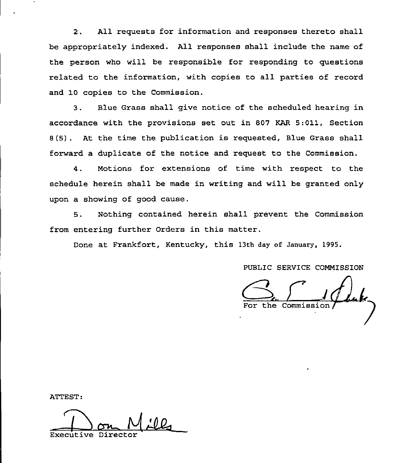2. All requests for information and responses thereto shall be appropriately indexed. All responses shall include the name of the person who will be responsible for responding to questions related to the information, with copies to all parties of record and 10 copies to the Commission.

3. Blue Grass shall give notice of the scheduled hearing in accordance with the provisions set out in 807 KAR 5:011, Section 8(5) . At the time the publication is requested, Blue Grass shall forward a duplicate of the notice and request to the Commission.

4. Motions for extensions of time with respect to the schedule herein shall be made in writing and will be granted only upon a showing of good cause.

5. Nothing contained herein shall prevent the Commission from entering further Orders in this matter.

Done at Frankfort, Kentucky, this 13th day of January, 1995.

PUBLIC SERVICE COMMISSION

the Commission

ATTEST:

Executive